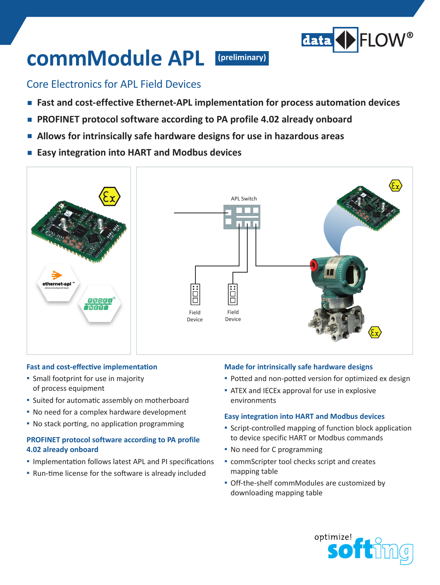

# **commModule APL**

**(preliminary)**

### Core Electronics for APL Field Devices

- **Fast and cost-effective Ethernet-APL implementation for process automation devices**
- **PROFINET** protocol software according to PA profile 4.02 already onboard
- Allows for intrinsically safe hardware designs for use in hazardous areas
- **▪ Easy integration into HART and Modbus devices**



#### **Fast and cost-effective implementation**

- **▪**  Small footprint for use in majority of process equipment
- Suited for automatic assembly on motherboard
- No need for a complex hardware development
- **▪** No stack porting, no application programming

#### **PROFINET protocol software according to PA profile 4.02 already onboard**

- Implementation follows latest APL and PI specifications
- **▪** Run-time license for the software is already included

#### **Made for intrinsically safe hardware designs**

- Potted and non-potted version for optimized ex design
- **E** ATEX and IECEx approval for use in explosive environments

#### **Easy integration into HART and Modbus devices**

- **▪** Script-controlled mapping of function block application to device specific HART or Modbus commands
- **▪**  No need for C programming
- **commScripter tool checks script and creates** mapping table
- **▪**  Off-the-shelf commModules are customized by downloading mapping table